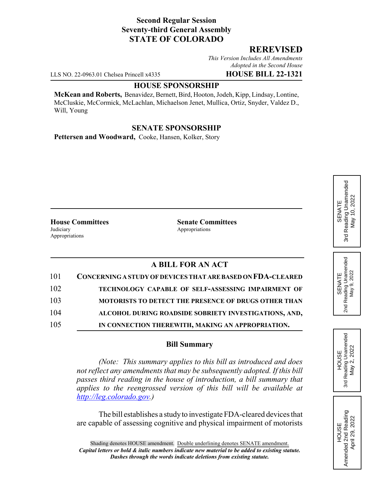### **Second Regular Session Seventy-third General Assembly STATE OF COLORADO**

#### **REREVISED**

*This Version Includes All Amendments Adopted in the Second House*

LLS NO. 22-0963.01 Chelsea Princell x4335 **HOUSE BILL 22-1321**

#### **HOUSE SPONSORSHIP**

**McKean and Roberts,** Benavidez, Bernett, Bird, Hooton, Jodeh, Kipp, Lindsay, Lontine, McCluskie, McCormick, McLachlan, Michaelson Jenet, Mullica, Ortiz, Snyder, Valdez D., Will, Young

## **SENATE SPONSORSHIP**

**Pettersen and Woodward,** Cooke, Hansen, Kolker, Story

Judiciary **Appropriations** Appropriations

**House Committees Senate Committees**

# **A BILL FOR AN ACT**

| 101 | CONCERNING A STUDY OF DEVICES THAT ARE BASED ON FDA-CLEARED |
|-----|-------------------------------------------------------------|
| 102 | TECHNOLOGY CAPABLE OF SELF-ASSESSING IMPAIRMENT OF          |
| 103 | <b>MOTORISTS TO DETECT THE PRESENCE OF DRUGS OTHER THAN</b> |
| 104 | ALCOHOL DURING ROADSIDE SOBRIETY INVESTIGATIONS, AND,       |
| 105 | IN CONNECTION THEREWITH, MAKING AN APPROPRIATION.           |

## **Bill Summary**

*(Note: This summary applies to this bill as introduced and does not reflect any amendments that may be subsequently adopted. If this bill passes third reading in the house of introduction, a bill summary that applies to the reengrossed version of this bill will be available at http://leg.colorado.gov.)*

The bill establishes a study to investigate FDA-cleared devices that are capable of assessing cognitive and physical impairment of motorists

Reading Unamended 3rd Reading Unamended May 10, 2022 May 10, 2022 SENATE 3rd





HOUSE<br>Amended 2nd Reading Amended 2nd Reading April 29, 2022

April 29, 2022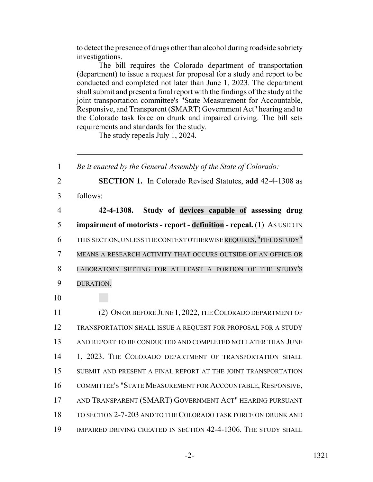to detect the presence of drugs other than alcohol during roadside sobriety investigations.

The bill requires the Colorado department of transportation (department) to issue a request for proposal for a study and report to be conducted and completed not later than June 1, 2023. The department shall submit and present a final report with the findings of the study at the joint transportation committee's "State Measurement for Accountable, Responsive, and Transparent (SMART) Government Act" hearing and to the Colorado task force on drunk and impaired driving. The bill sets requirements and standards for the study.

The study repeals July 1, 2024.

 *Be it enacted by the General Assembly of the State of Colorado:* **SECTION 1.** In Colorado Revised Statutes, **add** 42-4-1308 as 3 follows: **42-4-1308. Study of devices capable of assessing drug impairment of motorists - report - definition - repeal.** (1) AS USED IN THIS SECTION, UNLESS THE CONTEXT OTHERWISE REQUIRES, "FIELD STUDY" MEANS A RESEARCH ACTIVITY THAT OCCURS OUTSIDE OF AN OFFICE OR LABORATORY SETTING FOR AT LEAST A PORTION OF THE STUDY'S DURATION. 10 (2) ON OR BEFORE JUNE 1, 2022, THE COLORADO DEPARTMENT OF TRANSPORTATION SHALL ISSUE A REQUEST FOR PROPOSAL FOR A STUDY 13 AND REPORT TO BE CONDUCTED AND COMPLETED NOT LATER THAN JUNE 14 1, 2023. THE COLORADO DEPARTMENT OF TRANSPORTATION SHALL SUBMIT AND PRESENT A FINAL REPORT AT THE JOINT TRANSPORTATION COMMITTEE'S "STATE MEASUREMENT FOR ACCOUNTABLE, RESPONSIVE, AND TRANSPARENT (SMART) GOVERNMENT ACT" HEARING PURSUANT TO SECTION 2-7-203 AND TO THE COLORADO TASK FORCE ON DRUNK AND IMPAIRED DRIVING CREATED IN SECTION 42-4-1306. THE STUDY SHALL